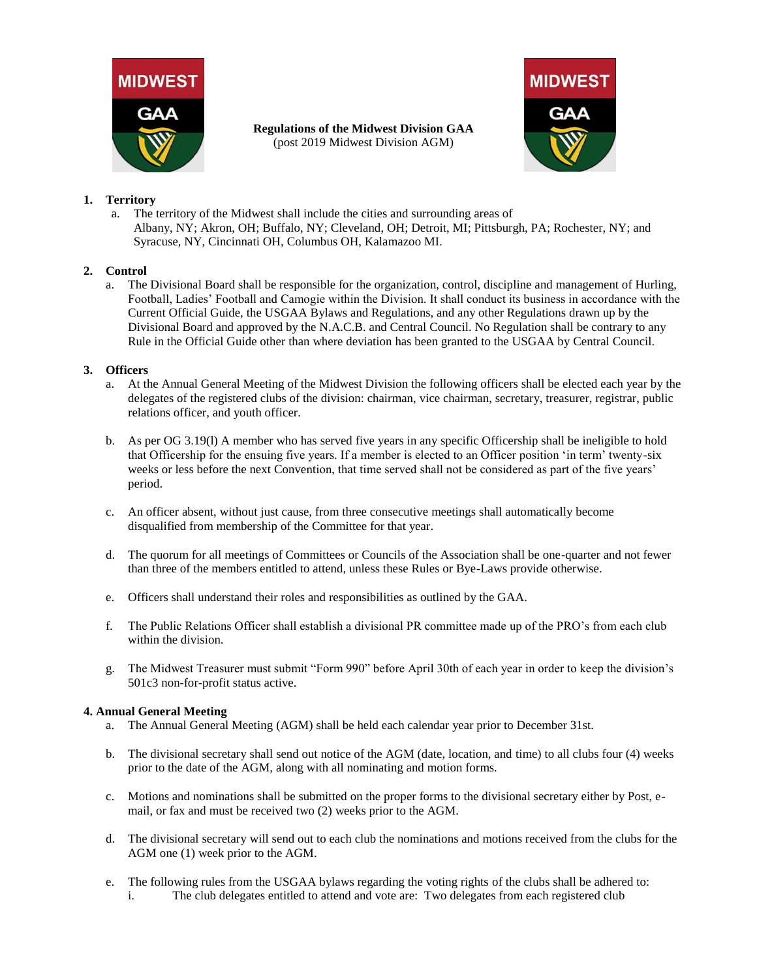



# **1. Territory**

a. The territory of the Midwest shall include the cities and surrounding areas of Albany, NY; Akron, OH; Buffalo, NY; Cleveland, OH; Detroit, MI; Pittsburgh, PA; Rochester, NY; and Syracuse, NY, Cincinnati OH, Columbus OH, Kalamazoo MI.

**Regulations of the Midwest Division GAA** (post 2019 Midwest Division AGM)

# **2. Control**

a. The Divisional Board shall be responsible for the organization, control, discipline and management of Hurling, Football, Ladies' Football and Camogie within the Division. It shall conduct its business in accordance with the Current Official Guide, the USGAA Bylaws and Regulations, and any other Regulations drawn up by the Divisional Board and approved by the N.A.C.B. and Central Council. No Regulation shall be contrary to any Rule in the Official Guide other than where deviation has been granted to the USGAA by Central Council.

## **3. Officers**

- a. At the Annual General Meeting of the Midwest Division the following officers shall be elected each year by the delegates of the registered clubs of the division: chairman, vice chairman, secretary, treasurer, registrar, public relations officer, and youth officer.
- b. As per OG 3.19(l) A member who has served five years in any specific Officership shall be ineligible to hold that Officership for the ensuing five years. If a member is elected to an Officer position 'in term' twenty-six weeks or less before the next Convention, that time served shall not be considered as part of the five years' period.
- c. An officer absent, without just cause, from three consecutive meetings shall automatically become disqualified from membership of the Committee for that year.
- d. The quorum for all meetings of Committees or Councils of the Association shall be one-quarter and not fewer than three of the members entitled to attend, unless these Rules or Bye-Laws provide otherwise.
- e. Officers shall understand their roles and responsibilities as outlined by the GAA.
- f. The Public Relations Officer shall establish a divisional PR committee made up of the PRO's from each club within the division.
- g. The Midwest Treasurer must submit "Form 990" before April 30th of each year in order to keep the division's 501c3 non-for-profit status active.

## **4. Annual General Meeting**

- a. The Annual General Meeting (AGM) shall be held each calendar year prior to December 31st.
- b. The divisional secretary shall send out notice of the AGM (date, location, and time) to all clubs four (4) weeks prior to the date of the AGM, along with all nominating and motion forms.
- c. Motions and nominations shall be submitted on the proper forms to the divisional secretary either by Post, email, or fax and must be received two (2) weeks prior to the AGM.
- d. The divisional secretary will send out to each club the nominations and motions received from the clubs for the AGM one (1) week prior to the AGM.
- e. The following rules from the USGAA bylaws regarding the voting rights of the clubs shall be adhered to:
	- i. The club delegates entitled to attend and vote are: Two delegates from each registered club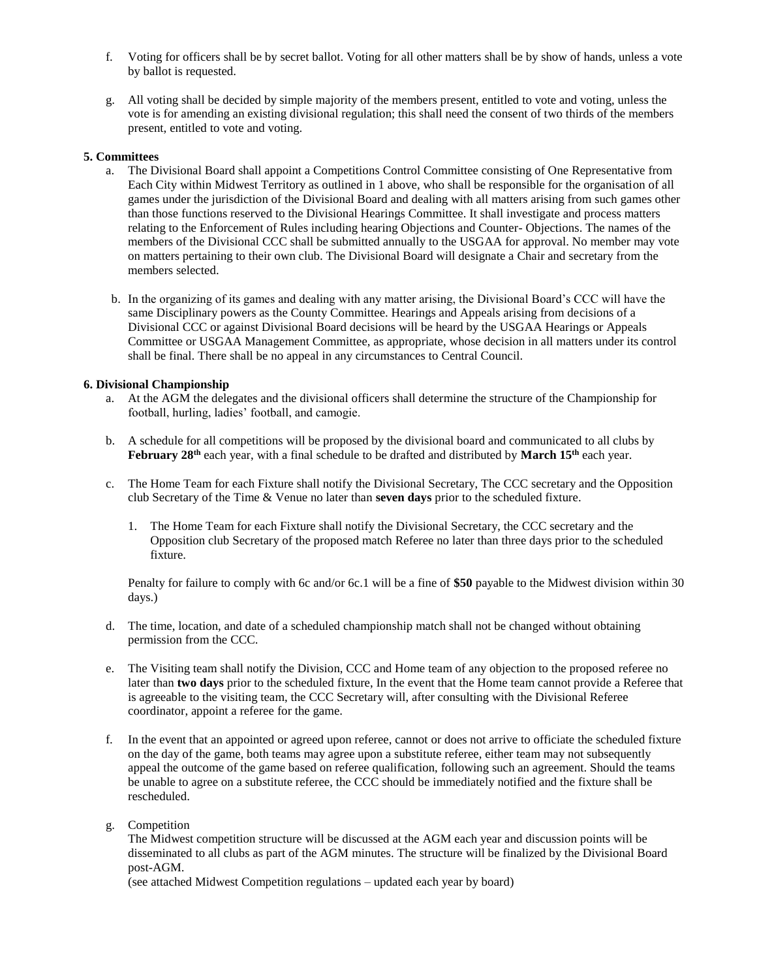- f. Voting for officers shall be by secret ballot. Voting for all other matters shall be by show of hands, unless a vote by ballot is requested.
- g. All voting shall be decided by simple majority of the members present, entitled to vote and voting, unless the vote is for amending an existing divisional regulation; this shall need the consent of two thirds of the members present, entitled to vote and voting.

#### **5. Committees**

- a. The Divisional Board shall appoint a Competitions Control Committee consisting of One Representative from Each City within Midwest Territory as outlined in 1 above, who shall be responsible for the organisation of all games under the jurisdiction of the Divisional Board and dealing with all matters arising from such games other than those functions reserved to the Divisional Hearings Committee. It shall investigate and process matters relating to the Enforcement of Rules including hearing Objections and Counter- Objections. The names of the members of the Divisional CCC shall be submitted annually to the USGAA for approval. No member may vote on matters pertaining to their own club. The Divisional Board will designate a Chair and secretary from the members selected.
- b. In the organizing of its games and dealing with any matter arising, the Divisional Board's CCC will have the same Disciplinary powers as the County Committee. Hearings and Appeals arising from decisions of a Divisional CCC or against Divisional Board decisions will be heard by the USGAA Hearings or Appeals Committee or USGAA Management Committee, as appropriate, whose decision in all matters under its control shall be final. There shall be no appeal in any circumstances to Central Council.

#### **6. Divisional Championship**

- a. At the AGM the delegates and the divisional officers shall determine the structure of the Championship for football, hurling, ladies' football, and camogie.
- b. A schedule for all competitions will be proposed by the divisional board and communicated to all clubs by **February 28th** each year, with a final schedule to be drafted and distributed by **March 15th** each year.
- c. The Home Team for each Fixture shall notify the Divisional Secretary, The CCC secretary and the Opposition club Secretary of the Time & Venue no later than **seven days** prior to the scheduled fixture.
	- 1. The Home Team for each Fixture shall notify the Divisional Secretary, the CCC secretary and the Opposition club Secretary of the proposed match Referee no later than three days prior to the scheduled fixture.

Penalty for failure to comply with 6c and/or 6c.1 will be a fine of **\$50** payable to the Midwest division within 30 days.)

- d. The time, location, and date of a scheduled championship match shall not be changed without obtaining permission from the CCC.
- e. The Visiting team shall notify the Division, CCC and Home team of any objection to the proposed referee no later than **two days** prior to the scheduled fixture, In the event that the Home team cannot provide a Referee that is agreeable to the visiting team, the CCC Secretary will, after consulting with the Divisional Referee coordinator, appoint a referee for the game.
- f. In the event that an appointed or agreed upon referee, cannot or does not arrive to officiate the scheduled fixture on the day of the game, both teams may agree upon a substitute referee, either team may not subsequently appeal the outcome of the game based on referee qualification, following such an agreement. Should the teams be unable to agree on a substitute referee, the CCC should be immediately notified and the fixture shall be rescheduled.
- g. Competition

The Midwest competition structure will be discussed at the AGM each year and discussion points will be disseminated to all clubs as part of the AGM minutes. The structure will be finalized by the Divisional Board post-AGM.

(see attached Midwest Competition regulations – updated each year by board)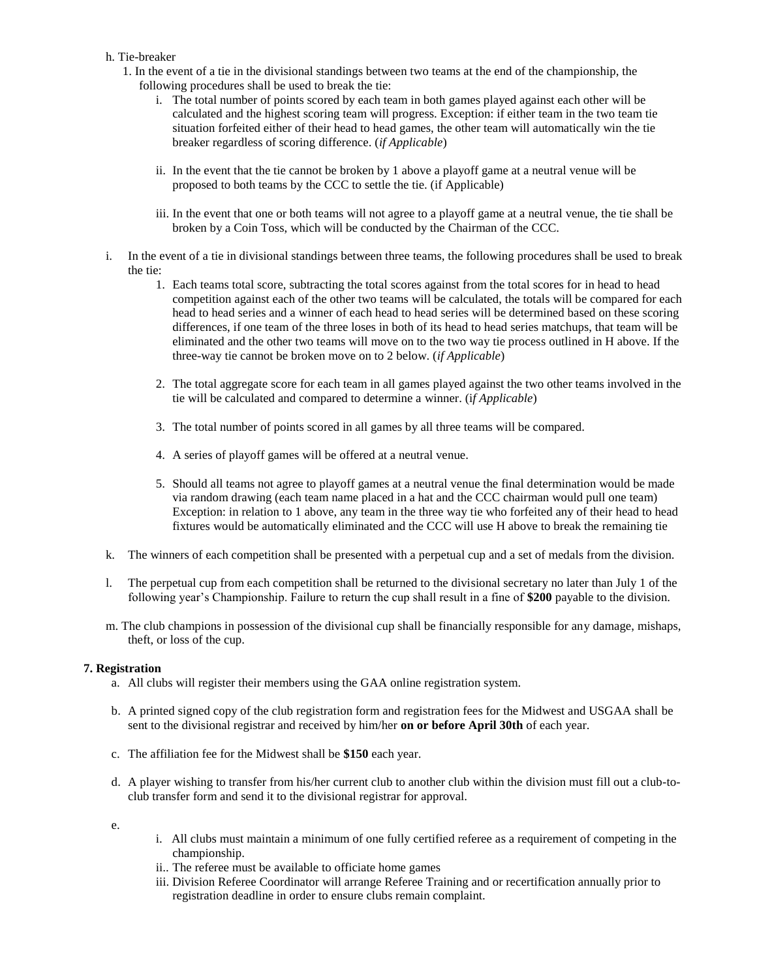#### h. Tie-breaker

- 1. In the event of a tie in the divisional standings between two teams at the end of the championship, the following procedures shall be used to break the tie:
	- i. The total number of points scored by each team in both games played against each other will be calculated and the highest scoring team will progress. Exception: if either team in the two team tie situation forfeited either of their head to head games, the other team will automatically win the tie breaker regardless of scoring difference. (*if Applicable*)
	- ii. In the event that the tie cannot be broken by 1 above a playoff game at a neutral venue will be proposed to both teams by the CCC to settle the tie. (if Applicable)
	- iii. In the event that one or both teams will not agree to a playoff game at a neutral venue, the tie shall be broken by a Coin Toss, which will be conducted by the Chairman of the CCC.
- i. In the event of a tie in divisional standings between three teams, the following procedures shall be used to break the tie:
	- 1. Each teams total score, subtracting the total scores against from the total scores for in head to head competition against each of the other two teams will be calculated, the totals will be compared for each head to head series and a winner of each head to head series will be determined based on these scoring differences, if one team of the three loses in both of its head to head series matchups, that team will be eliminated and the other two teams will move on to the two way tie process outlined in H above. If the three-way tie cannot be broken move on to 2 below. (*if Applicable*)
	- 2. The total aggregate score for each team in all games played against the two other teams involved in the tie will be calculated and compared to determine a winner. (i*f Applicable*)
	- 3. The total number of points scored in all games by all three teams will be compared.
	- 4. A series of playoff games will be offered at a neutral venue.
	- 5. Should all teams not agree to playoff games at a neutral venue the final determination would be made via random drawing (each team name placed in a hat and the CCC chairman would pull one team) Exception: in relation to 1 above, any team in the three way tie who forfeited any of their head to head fixtures would be automatically eliminated and the CCC will use H above to break the remaining tie
- k. The winners of each competition shall be presented with a perpetual cup and a set of medals from the division.
- l. The perpetual cup from each competition shall be returned to the divisional secretary no later than July 1 of the following year's Championship. Failure to return the cup shall result in a fine of **\$200** payable to the division.
- m. The club champions in possession of the divisional cup shall be financially responsible for any damage, mishaps, theft, or loss of the cup.

## **7. Registration**

- a. All clubs will register their members using the GAA online registration system.
- b. A printed signed copy of the club registration form and registration fees for the Midwest and USGAA shall be sent to the divisional registrar and received by him/her **on or before April 30th** of each year.
- c. The affiliation fee for the Midwest shall be **\$150** each year.
- d. A player wishing to transfer from his/her current club to another club within the division must fill out a club-toclub transfer form and send it to the divisional registrar for approval.

e.

- i. All clubs must maintain a minimum of one fully certified referee as a requirement of competing in the championship.
- ii.. The referee must be available to officiate home games
- iii. Division Referee Coordinator will arrange Referee Training and or recertification annually prior to registration deadline in order to ensure clubs remain complaint.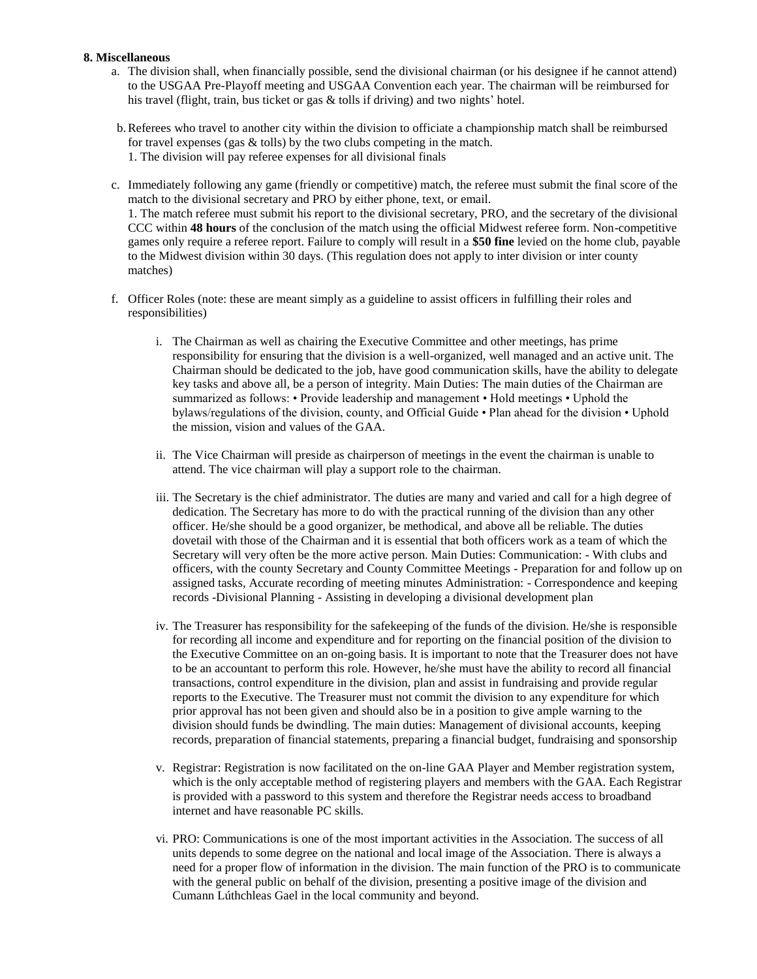#### **8. Miscellaneous**

- a. The division shall, when financially possible, send the divisional chairman (or his designee if he cannot attend) to the USGAA Pre-Playoff meeting and USGAA Convention each year. The chairman will be reimbursed for his travel (flight, train, bus ticket or gas & tolls if driving) and two nights' hotel.
- b.Referees who travel to another city within the division to officiate a championship match shall be reimbursed for travel expenses (gas  $&$  tolls) by the two clubs competing in the match. 1. The division will pay referee expenses for all divisional finals
- c. Immediately following any game (friendly or competitive) match, the referee must submit the final score of the match to the divisional secretary and PRO by either phone, text, or email. 1. The match referee must submit his report to the divisional secretary, PRO, and the secretary of the divisional CCC within **48 hours** of the conclusion of the match using the official Midwest referee form. Non-competitive games only require a referee report. Failure to comply will result in a **\$50 fine** levied on the home club, payable to the Midwest division within 30 days. (This regulation does not apply to inter division or inter county matches)
- f. Officer Roles (note: these are meant simply as a guideline to assist officers in fulfilling their roles and responsibilities)
	- i. The Chairman as well as chairing the Executive Committee and other meetings, has prime responsibility for ensuring that the division is a well-organized, well managed and an active unit. The Chairman should be dedicated to the job, have good communication skills, have the ability to delegate key tasks and above all, be a person of integrity. Main Duties: The main duties of the Chairman are summarized as follows: • Provide leadership and management • Hold meetings • Uphold the bylaws/regulations of the division, county, and Official Guide • Plan ahead for the division • Uphold the mission, vision and values of the GAA.
	- ii. The Vice Chairman will preside as chairperson of meetings in the event the chairman is unable to attend. The vice chairman will play a support role to the chairman.
	- iii. The Secretary is the chief administrator. The duties are many and varied and call for a high degree of dedication. The Secretary has more to do with the practical running of the division than any other officer. He/she should be a good organizer, be methodical, and above all be reliable. The duties dovetail with those of the Chairman and it is essential that both officers work as a team of which the Secretary will very often be the more active person. Main Duties: Communication: - With clubs and officers, with the county Secretary and County Committee Meetings - Preparation for and follow up on assigned tasks, Accurate recording of meeting minutes Administration: - Correspondence and keeping records -Divisional Planning - Assisting in developing a divisional development plan
	- iv. The Treasurer has responsibility for the safekeeping of the funds of the division. He/she is responsible for recording all income and expenditure and for reporting on the financial position of the division to the Executive Committee on an on-going basis. It is important to note that the Treasurer does not have to be an accountant to perform this role. However, he/she must have the ability to record all financial transactions, control expenditure in the division, plan and assist in fundraising and provide regular reports to the Executive. The Treasurer must not commit the division to any expenditure for which prior approval has not been given and should also be in a position to give ample warning to the division should funds be dwindling. The main duties: Management of divisional accounts, keeping records, preparation of financial statements, preparing a financial budget, fundraising and sponsorship
	- v. Registrar: Registration is now facilitated on the on-line GAA Player and Member registration system, which is the only acceptable method of registering players and members with the GAA. Each Registrar is provided with a password to this system and therefore the Registrar needs access to broadband internet and have reasonable PC skills.
	- vi. PRO: Communications is one of the most important activities in the Association. The success of all units depends to some degree on the national and local image of the Association. There is always a need for a proper flow of information in the division. The main function of the PRO is to communicate with the general public on behalf of the division, presenting a positive image of the division and Cumann Lúthchleas Gael in the local community and beyond.